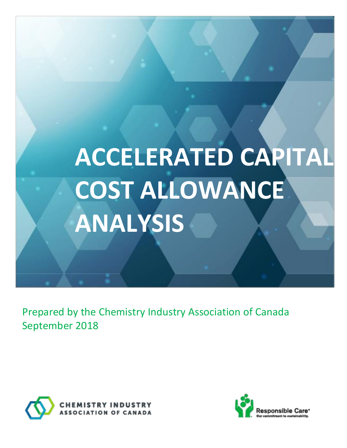

Prepared by the Chemistry Industry Association of Canada September 2018

ACCELERATED CAPITAL COST ALLOWANCE



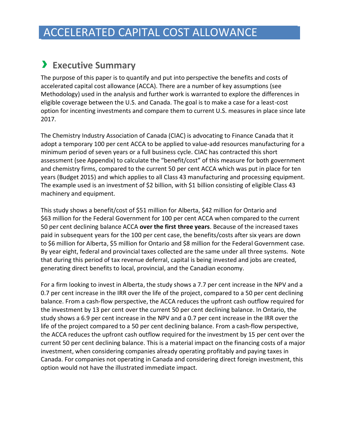### <span id="page-1-0"></span>› **Executive Summary**

The purpose of this paper is to quantify and put into perspective the benefits and costs of accelerated capital cost allowance (ACCA). There are a number of key assumptions (see Methodology) used in the analysis and further work is warranted to explore the differences in eligible coverage between the U.S. and Canada. The goal is to make a case for a least-cost option for incenting investments and compare them to current U.S. measures in place since late 2017.

The Chemistry Industry Association of Canada (CIAC) is advocating to Finance Canada that it adopt a temporary 100 per cent ACCA to be applied to value-add resources manufacturing for a minimum period of seven years or a full business cycle. CIAC has contracted this short assessment (see Appendix) to calculate the "benefit/cost" of this measure for both government and chemistry firms, compared to the current 50 per cent ACCA which was put in place for ten years (Budget 2015) and which applies to all Class 43 manufacturing and processing equipment. The example used is an investment of \$2 billion, with \$1 billion consisting of eligible Class 43 machinery and equipment.

This study shows a benefit/cost of \$51 million for Alberta, \$42 million for Ontario and \$63 million for the Federal Government for 100 per cent ACCA when compared to the current 50 per cent declining balance ACCA **over the first three years**. Because of the increased taxes paid in subsequent years for the 100 per cent case, the benefits/costs after six years are down to \$6 million for Alberta, \$5 million for Ontario and \$8 million for the Federal Government case. By year eight, federal and provincial taxes collected are the same under all three systems. Note that during this period of tax revenue deferral, capital is being invested and jobs are created, generating direct benefits to local, provincial, and the Canadian economy.

For a firm looking to invest in Alberta, the study shows a 7.7 per cent increase in the NPV and a 0.7 per cent increase in the IRR over the life of the project, compared to a 50 per cent declining balance. From a cash-flow perspective, the ACCA reduces the upfront cash outflow required for the investment by 13 per cent over the current 50 per cent declining balance. In Ontario, the study shows a 6.9 per cent increase in the NPV and a 0.7 per cent increase in the IRR over the life of the project compared to a 50 per cent declining balance. From a cash-flow perspective, the ACCA reduces the upfront cash outflow required for the investment by 15 per cent over the current 50 per cent declining balance. This is a material impact on the financing costs of a major investment, when considering companies already operating profitably and paying taxes in Canada. For companies not operating in Canada and considering direct foreign investment, this option would not have the illustrated immediate impact.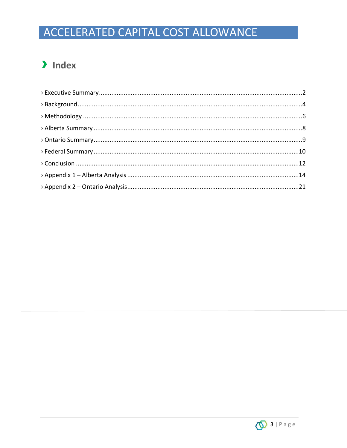### > Index

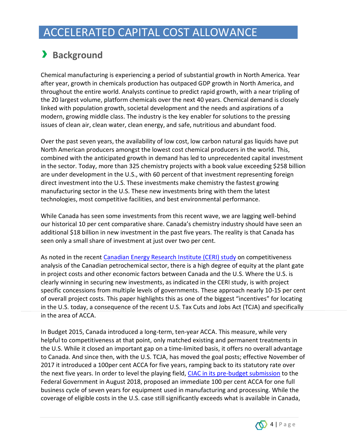# <span id="page-3-0"></span>› **Background**

Chemical manufacturing is experiencing a period of substantial growth in North America. Year after year, growth in chemicals production has outpaced GDP growth in North America, and throughout the entire world. Analysts continue to predict rapid growth, with a near tripling of the 20 largest volume, platform chemicals over the next 40 years. Chemical demand is closely linked with population growth, societal development and the needs and aspirations of a modern, growing middle class. The industry is the key enabler for solutions to the pressing issues of clean air, clean water, clean energy, and safe, nutritious and abundant food.

Over the past seven years, the availability of low cost, low carbon natural gas liquids have put North American producers amongst the lowest cost chemical producers in the world. This, combined with the anticipated growth in demand has led to unprecedented capital investment in the sector. Today, more than 325 chemistry projects with a book value exceeding \$258 billion are under development in the U.S., with 60 percent of that investment representing foreign direct investment into the U.S. These investments make chemistry the fastest growing manufacturing sector in the U.S. These new investments bring with them the latest technologies, most competitive facilities, and best environmental performance.

While Canada has seen some investments from this recent wave, we are lagging well-behind our historical 10 per cent comparative share. Canada's chemistry industry should have seen an additional \$18 billion in new investment in the past five years. The reality is that Canada has seen only a small share of investment at just over two per cent.

As noted in the recent [Canadian Energy Research Institute \(CERI\)](https://www.ceri.ca/studies/competitive-analysis-of-the-canadian-petrochemical-sector) study on competitiveness analysis of the Canadian petrochemical sector, there is a high degree of equity at the plant gate in project costs and other economic factors between Canada and the U.S. Where the U.S. is clearly winning in securing new investments, as indicated in the CERI study, is with project specific concessions from multiple levels of governments. These approach nearly 10-15 per cent of overall project costs. This paper highlights this as one of the biggest "incentives" for locating in the U.S. today, a consequence of the recent U.S. Tax Cuts and Jobs Act (TCJA) and specifically in the area of ACCA.

In Budget 2015, Canada introduced a long-term, ten-year ACCA. This measure, while very helpful to competitiveness at that point, only matched existing and permanent treatments in the U.S. While it closed an important gap on a time-limited basis, it offers no overall advantage to Canada. And since then, with the U.S. TCJA, has moved the goal posts; effective November of 2017 it introduced a 100per cent ACCA for five years, ramping back to its statutory rate over the next five years. In order to level the playing field, [CIAC in its pre-budget submission](http://canadianchemistry.ca/wp-content/uploads/2018/08/CIAC-Federal-2019-Pre-Budget-SubmissionV2.pdf) to the Federal Government in August 2018, proposed an immediate 100 per cent ACCA for one full business cycle of seven years for equipment used in manufacturing and processing. While the coverage of eligible costs in the U.S. case still significantly exceeds what is available in Canada,

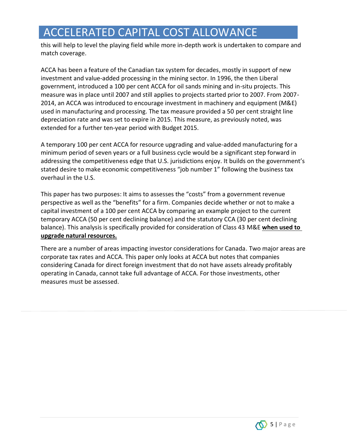this will help to level the playing field while more in-depth work is undertaken to compare and match coverage.

ACCA has been a feature of the Canadian tax system for decades, mostly in support of new investment and value-added processing in the mining sector. In 1996, the then Liberal government, introduced a 100 per cent ACCA for oil sands mining and in-situ projects. This measure was in place until 2007 and still applies to projects started prior to 2007. From 2007- 2014, an ACCA was introduced to encourage investment in machinery and equipment (M&E) used in manufacturing and processing. The tax measure provided a 50 per cent straight line depreciation rate and was set to expire in 2015. This measure, as previously noted, was extended for a further ten-year period with Budget 2015.

A temporary 100 per cent ACCA for resource upgrading and value-added manufacturing for a minimum period of seven years or a full business cycle would be a significant step forward in addressing the competitiveness edge that U.S. jurisdictions enjoy. It builds on the government's stated desire to make economic competitiveness "job number 1" following the business tax overhaul in the U.S.

This paper has two purposes: It aims to assesses the "costs" from a government revenue perspective as well as the "benefits" for a firm. Companies decide whether or not to make a capital investment of a 100 per cent ACCA by comparing an example project to the current temporary ACCA (50 per cent declining balance) and the statutory CCA (30 per cent declining balance). This analysis is specifically provided for consideration of Class 43 M&E **when used to upgrade natural resources.**

There are a number of areas impacting investor considerations for Canada. Two major areas are corporate tax rates and ACCA. This paper only looks at ACCA but notes that companies considering Canada for direct foreign investment that do not have assets already profitably operating in Canada, cannot take full advantage of ACCA. For those investments, other measures must be assessed.

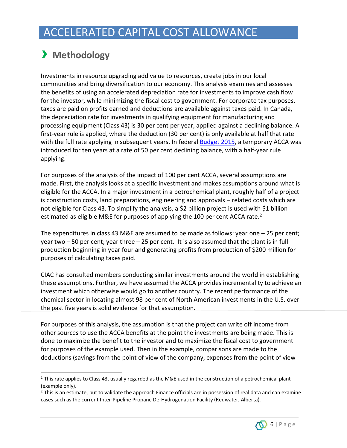# <span id="page-5-0"></span>› **Methodology**

 $\overline{a}$ 

Investments in resource upgrading add value to resources, create jobs in our local communities and bring diversification to our economy. This analysis examines and assesses the benefits of using an accelerated depreciation rate for investments to improve cash flow for the investor, while minimizing the fiscal cost to government. For corporate tax purposes, taxes are paid on profits earned and deductions are available against taxes paid. In Canada, the depreciation rate for investments in qualifying equipment for manufacturing and processing equipment (Class 43) is 30 per cent per year, applied against a declining balance. A first-year rule is applied, where the deduction (30 per cent) is only available at half that rate with the full rate applying in subsequent years. In federal [Budget 2015,](https://www.budget.gc.ca/2015/docs/plan/ch3-1-eng.html) a temporary ACCA was introduced for ten years at a rate of 50 per cent declining balance, with a half-year rule applying.<sup>1</sup>

For purposes of the analysis of the impact of 100 per cent ACCA, several assumptions are made. First, the analysis looks at a specific investment and makes assumptions around what is eligible for the ACCA. In a major investment in a petrochemical plant, roughly half of a project is construction costs, land preparations, engineering and approvals – related costs which are not eligible for Class 43. To simplify the analysis, a \$2 billion project is used with \$1 billion estimated as eligible M&E for purposes of applying the 100 per cent ACCA rate.<sup>2</sup>

The expenditures in class 43 M&E are assumed to be made as follows: year one – 25 per cent; year two – 50 per cent; year three – 25 per cent. It is also assumed that the plant is in full production beginning in year four and generating profits from production of \$200 million for purposes of calculating taxes paid.

CIAC has consulted members conducting similar investments around the world in establishing these assumptions. Further, we have assumed the ACCA provides incrementality to achieve an investment which otherwise would go to another country. The recent performance of the chemical sector in locating almost 98 per cent of North American investments in the U.S. over the past five years is solid evidence for that assumption.

For purposes of this analysis, the assumption is that the project can write off income from other sources to use the ACCA benefits at the point the investments are being made. This is done to maximize the benefit to the investor and to maximize the fiscal cost to government for purposes of the example used. Then in the example, comparisons are made to the deductions (savings from the point of view of the company, expenses from the point of view

 $<sup>2</sup>$  This is an estimate, but to validate the approach Finance officials are in possession of real data and can examine</sup> cases such as the current Inter-Pipeline Propane De-Hydrogenation Facility (Redwater, Alberta).



<sup>&</sup>lt;sup>1</sup> This rate applies to Class 43, usually regarded as the M&E used in the construction of a petrochemical plant (example only).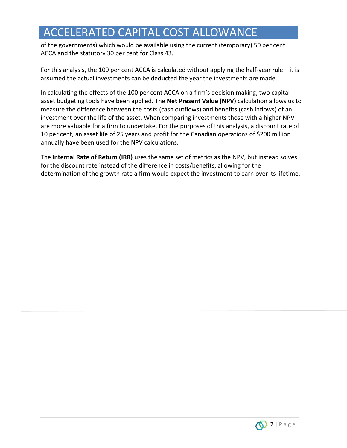of the governments) which would be available using the current (temporary) 50 per cent ACCA and the statutory 30 per cent for Class 43.

For this analysis, the 100 per cent ACCA is calculated without applying the half-year rule  $-$  it is assumed the actual investments can be deducted the year the investments are made.

In calculating the effects of the 100 per cent ACCA on a firm's decision making, two capital asset budgeting tools have been applied. The **Net Present Value (NPV)** calculation allows us to measure the difference between the costs (cash outflows) and benefits (cash inflows) of an investment over the life of the asset. When comparing investments those with a higher NPV are more valuable for a firm to undertake. For the purposes of this analysis, a discount rate of 10 per cent, an asset life of 25 years and profit for the Canadian operations of \$200 million annually have been used for the NPV calculations.

<span id="page-6-0"></span>The **Internal Rate of Return (IRR)** uses the same set of metrics as the NPV, but instead solves for the discount rate instead of the difference in costs/benefits, allowing for the determination of the growth rate a firm would expect the investment to earn over its lifetime.

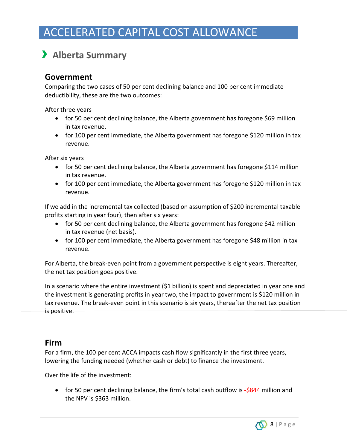# › **Alberta Summary**

### **Government**

Comparing the two cases of 50 per cent declining balance and 100 per cent immediate deductibility, these are the two outcomes:

After three years

- for 50 per cent declining balance, the Alberta government has foregone \$69 million in tax revenue.
- for 100 per cent immediate, the Alberta government has foregone \$120 million in tax revenue.

After six years

- for 50 per cent declining balance, the Alberta government has foregone \$114 million in tax revenue.
- for 100 per cent immediate, the Alberta government has foregone \$120 million in tax revenue.

If we add in the incremental tax collected (based on assumption of \$200 incremental taxable profits starting in year four), then after six years:

- for 50 per cent declining balance, the Alberta government has foregone \$42 million in tax revenue (net basis).
- for 100 per cent immediate, the Alberta government has foregone \$48 million in tax revenue.

For Alberta, the break-even point from a government perspective is eight years. Thereafter, the net tax position goes positive.

In a scenario where the entire investment (\$1 billion) is spent and depreciated in year one and the investment is generating profits in year two, the impact to government is \$120 million in tax revenue. The break-even point in this scenario is six years, thereafter the net tax position is positive.

### **Firm**

For a firm, the 100 per cent ACCA impacts cash flow significantly in the first three years, lowering the funding needed (whether cash or debt) to finance the investment.

Over the life of the investment:

• for 50 per cent declining balance, the firm's total cash outflow is -\$844 million and the NPV is \$363 million.

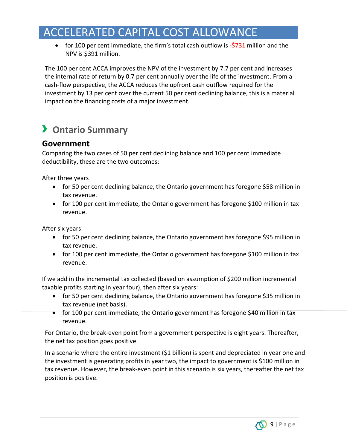• for 100 per cent immediate, the firm's total cash outflow is  $-5731$  million and the NPV is \$391 million.

The 100 per cent ACCA improves the NPV of the investment by 7.7 per cent and increases the internal rate of return by 0.7 per cent annually over the life of the investment. From a cash-flow perspective, the ACCA reduces the upfront cash outflow required for the investment by 13 per cent over the current 50 per cent declining balance, this is a material impact on the financing costs of a major investment.

# <span id="page-8-0"></span>› **Ontario Summary**

### **Government**

Comparing the two cases of 50 per cent declining balance and 100 per cent immediate deductibility, these are the two outcomes:

After three years

- for 50 per cent declining balance, the Ontario government has foregone \$58 million in tax revenue.
- for 100 per cent immediate, the Ontario government has foregone \$100 million in tax revenue.

After six years

- for 50 per cent declining balance, the Ontario government has foregone \$95 million in tax revenue.
- for 100 per cent immediate, the Ontario government has foregone \$100 million in tax revenue.

If we add in the incremental tax collected (based on assumption of \$200 million incremental taxable profits starting in year four), then after six years:

- for 50 per cent declining balance, the Ontario government has foregone \$35 million in tax revenue (net basis).
- for 100 per cent immediate, the Ontario government has foregone \$40 million in tax revenue.

For Ontario, the break-even point from a government perspective is eight years. Thereafter, the net tax position goes positive.

In a scenario where the entire investment (\$1 billion) is spent and depreciated in year one and the investment is generating profits in year two, the impact to government is \$100 million in tax revenue. However, the break-even point in this scenario is six years, thereafter the net tax position is positive.

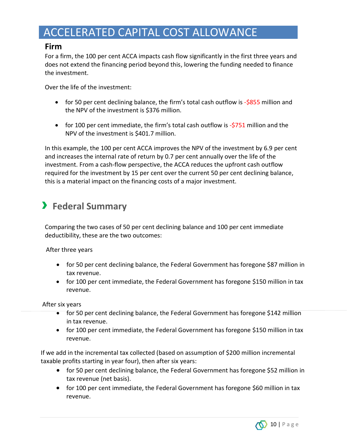### **Firm**

For a firm, the 100 per cent ACCA impacts cash flow significantly in the first three years and does not extend the financing period beyond this, lowering the funding needed to finance the investment.

Over the life of the investment:

- for 50 per cent declining balance, the firm's total cash outflow is -\$855 million and the NPV of the investment is \$376 million.
- for 100 per cent immediate, the firm's total cash outflow is  $-5751$  million and the NPV of the investment is \$401.7 million.

In this example, the 100 per cent ACCA improves the NPV of the investment by 6.9 per cent and increases the internal rate of return by 0.7 per cent annually over the life of the investment. From a cash-flow perspective, the ACCA reduces the upfront cash outflow required for the investment by 15 per cent over the current 50 per cent declining balance, this is a material impact on the financing costs of a major investment.

# <span id="page-9-0"></span>› **Federal Summary**

Comparing the two cases of 50 per cent declining balance and 100 per cent immediate deductibility, these are the two outcomes:

After three years

- for 50 per cent declining balance, the Federal Government has foregone \$87 million in tax revenue.
- for 100 per cent immediate, the Federal Government has foregone \$150 million in tax revenue.

After six years

- for 50 per cent declining balance, the Federal Government has foregone \$142 million in tax revenue.
- for 100 per cent immediate, the Federal Government has foregone \$150 million in tax revenue.

If we add in the incremental tax collected (based on assumption of \$200 million incremental taxable profits starting in year four), then after six years:

- for 50 per cent declining balance, the Federal Government has foregone \$52 million in tax revenue (net basis).
- for 100 per cent immediate, the Federal Government has foregone \$60 million in tax revenue.

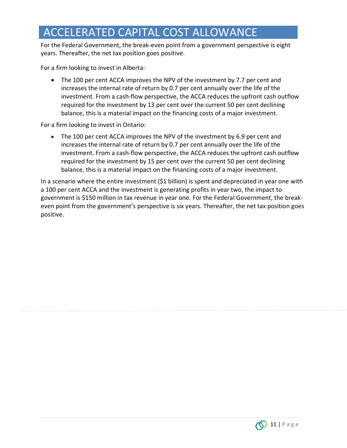For the Federal Government, the break-even point from a government perspective is eight years. Thereafter, the net tax position goes positive.

For a firm looking to invest in Alberta:

• The 100 per cent ACCA improves the NPV of the investment by 7.7 per cent and increases the internal rate of return by 0.7 per cent annually over the life of the investment. From a cash-flow perspective, the ACCA reduces the upfront cash outflow required for the investment by 13 per cent over the current 50 per cent declining balance, this is a material impact on the financing costs of a major investment.

For a firm looking to invest in Ontario:

• The 100 per cent ACCA improves the NPV of the investment by 6.9 per cent and increases the internal rate of return by 0.7 per cent annually over the life of the investment. From a cash-flow perspective, the ACCA reduces the upfront cash outflow required for the investment by 15 per cent over the current 50 per cent declining balance, this is a material impact on the financing costs of a major investment.

In a scenario where the entire investment (\$1 billion) is spent and depreciated in year one with a 100 per cent ACCA and the investment is generating profits in year two, the impact to government is \$150 million in tax revenue in year one. For the Federal Government, the breakeven point from the government's perspective is six years. Thereafter, the net tax position goes positive.

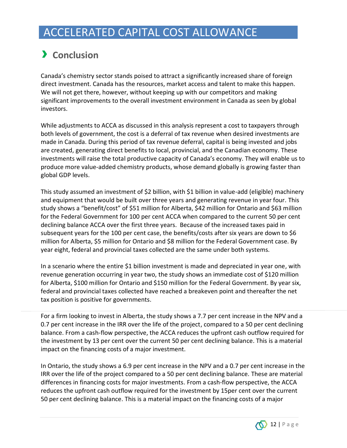# <span id="page-11-0"></span>› **Conclusion**

Canada's chemistry sector stands poised to attract a significantly increased share of foreign direct investment. Canada has the resources, market access and talent to make this happen. We will not get there, however, without keeping up with our competitors and making significant improvements to the overall investment environment in Canada as seen by global investors.

While adjustments to ACCA as discussed in this analysis represent a cost to taxpayers through both levels of government, the cost is a deferral of tax revenue when desired investments are made in Canada. During this period of tax revenue deferral, capital is being invested and jobs are created, generating direct benefits to local, provincial, and the Canadian economy. These investments will raise the total productive capacity of Canada's economy. They will enable us to produce more value-added chemistry products, whose demand globally is growing faster than global GDP levels.

This study assumed an investment of \$2 billion, with \$1 billion in value-add (eligible) machinery and equipment that would be built over three years and generating revenue in year four. This study shows a "benefit/cost" of \$51 million for Alberta, \$42 million for Ontario and \$63 million for the Federal Government for 100 per cent ACCA when compared to the current 50 per cent declining balance ACCA over the first three years. Because of the increased taxes paid in subsequent years for the 100 per cent case, the benefits/costs after six years are down to \$6 million for Alberta, \$5 million for Ontario and \$8 million for the Federal Government case. By year eight, federal and provincial taxes collected are the same under both systems.

In a scenario where the entire \$1 billion investment is made and depreciated in year one, with revenue generation occurring in year two, the study shows an immediate cost of \$120 million for Alberta, \$100 million for Ontario and \$150 million for the Federal Government. By year six, federal and provincial taxes collected have reached a breakeven point and thereafter the net tax position is positive for governments.

For a firm looking to invest in Alberta, the study shows a 7.7 per cent increase in the NPV and a 0.7 per cent increase in the IRR over the life of the project, compared to a 50 per cent declining balance. From a cash-flow perspective, the ACCA reduces the upfront cash outflow required for the investment by 13 per cent over the current 50 per cent declining balance. This is a material impact on the financing costs of a major investment.

In Ontario, the study shows a 6.9 per cent increase in the NPV and a 0.7 per cent increase in the IRR over the life of the project compared to a 50 per cent declining balance. These are material differences in financing costs for major investments. From a cash-flow perspective, the ACCA reduces the upfront cash outflow required for the investment by 15per cent over the current 50 per cent declining balance. This is a material impact on the financing costs of a major

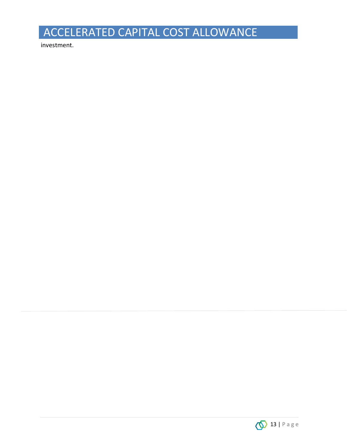investment.

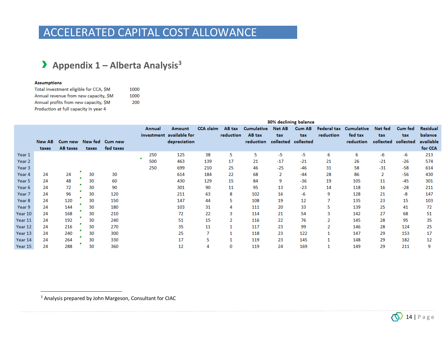### › **Appendix <sup>1</sup>– Alberta Analysis<sup>3</sup>**

#### **Assumptions**

 $\overline{a}$ 

| Total investment eligible for CCA, SM | 1000 |
|---------------------------------------|------|
| Annual revenue from new capacity, SM  | 1000 |
| Annual profits from new capacity, SM  | 200  |
| Production at full capacity in year 4 |      |

<span id="page-13-0"></span>

|         |        |          |       |                         |        |                          |                  |           |                   |                     | 30% declining balance |           |                        |                     |         |                 |
|---------|--------|----------|-------|-------------------------|--------|--------------------------|------------------|-----------|-------------------|---------------------|-----------------------|-----------|------------------------|---------------------|---------|-----------------|
|         |        |          |       |                         | Annual | <b>Amount</b>            | <b>CCA</b> claim | AB tax    | <b>Cumulative</b> | <b>Net AB</b>       | Cum AB                |           | Federal tax Cumulative | Net fed             | Cum fed | <b>Residual</b> |
|         |        |          |       |                         |        | investment available for |                  | reduction | AB tax            | tax                 | tax                   | reduction | fed tax                | tax                 | tax     | balance         |
|         | New AB |          |       | Cum new New fed Cum new |        | depreciation             |                  |           | reduction         | collected collected |                       |           | reduction              | collected collected |         | available       |
|         | taxes  | AB taxes | taxes | fed taxes               |        |                          |                  |           |                   |                     |                       |           |                        |                     |         | for CCA         |
| Year 1  |        |          |       |                         | 250    | 125                      | 38               | 5         | 5                 | -5                  | -5                    | 6         | 6                      | -6                  | -6      | 213             |
| Year 2  |        |          |       |                         | 500    | 463                      | 139              | 17        | 21                | $-17$               | $-21$                 | 21        | 26                     | $-21$               | $-26$   | 574             |
| Year 3  |        |          |       |                         | 250    | 699                      | 210              | 25        | 46                | $-25$               | $-46$                 | 31        | 58                     | $-31$               | $-58$   | 614             |
| Year 4  | 24     | 24       | 30    | 30                      |        | 614                      | 184              | 22        | 68                | $\overline{2}$      | $-44$                 | 28        | 86                     | $\overline{2}$      | $-56$   | 430             |
| Year 5  | 24     | 48       | 30    | 60                      |        | 430                      | 129              | 15        | 84                | 9                   | $-36$                 | 19        | 105                    | 11                  | $-45$   | 301             |
| Year 6  | 24     | 72       | 30    | 90                      |        | 301                      | 90               | 11        | 95                | 13                  | $-23$                 | 14        | 118                    | 16                  | $-28$   | 211             |
| Year 7  | 24     | 96       | 30    | 120                     |        | 211                      | 63               | 8         | 102               | 16                  | -6                    | 9         | 128                    | 21                  | -8      | 147             |
| Year 8  | 24     | 120      | 30    | 150                     |        | 147                      | 44               | 5         | 108               | 19                  | 12                    |           | 135                    | 23                  | 15      | 103             |
| Year 9  | 24     | 144      | 30    | 180                     |        | 103                      | 31               | 4         | 111               | 20                  | 33                    | 5         | 139                    | 25                  | 41      | 72              |
| Year 10 | 24     | 168      | 30    | 210                     |        | 72                       | 22               | 3         | 114               | 21                  | 54                    | 3         | 142                    | 27                  | 68      | 51              |
| Year 11 | 24     | 192      | 30    | 240                     |        | 51                       | 15               | 2         | 116               | 22                  | 76                    | 2         | 145                    | 28                  | 95      | 35              |
| Year 12 | 24     | 216      | 30    | 270                     |        | 35                       | 11               |           | 117               | 23                  | 99                    |           | 146                    | 28                  | 124     | 25              |
| Year 13 | 24     | 240      | 30    | 300                     |        | 25                       | 7                |           | 118               | 23                  | 122                   |           | 147                    | 29                  | 153     | 17              |
| Year 14 | 24     | 264      | 30    | 330                     |        | 17                       | 5                |           | 119               | 23                  | 145                   |           | 148                    | 29                  | 182     | 12              |
| Year 15 | 24     | 288      | 30    | 360                     |        | 12                       | 4                | 0         | 119               | 24                  | 169                   |           | 149                    | 29                  | 211     |                 |

<sup>3</sup> Analysis prepared by John Margeson, Consultant for CIAC

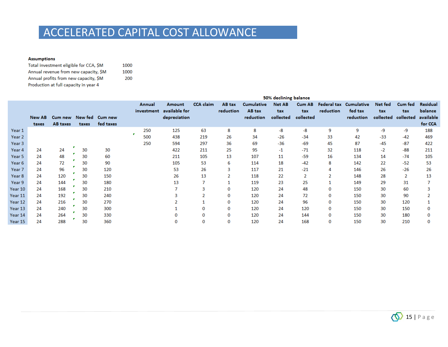1000 1000 200

#### **Assumptions**

| Total investment eligible for CCA, SM |
|---------------------------------------|
| Annual revenue from new capacity, SM  |
| Annual profits from new capacity, SM  |
| Production at full capacity in year 4 |

|         |        |                 |       |           |            |               |                  |           |                   | 50% declining balance |               |           |                        |           |                |           |
|---------|--------|-----------------|-------|-----------|------------|---------------|------------------|-----------|-------------------|-----------------------|---------------|-----------|------------------------|-----------|----------------|-----------|
|         |        |                 |       |           | Annual     | <b>Amount</b> | <b>CCA</b> claim | AB tax    | <b>Cumulative</b> | <b>Net AB</b>         | <b>Cum AB</b> |           | Federal tax Cumulative | Net fed   | <b>Cum fed</b> | Residual  |
|         |        |                 |       |           | investment | available for |                  | reduction | AB tax            | tax                   | tax           | reduction | fed tax                | tax       | tax            | balance   |
|         | New AB | Cum new New fed |       | Cum new   |            | depreciation  |                  |           | reduction         | collected             | collected     |           | reduction              | collected | collected      | available |
|         | taxes  | <b>AB</b> taxes | taxes | fed taxes |            |               |                  |           |                   |                       |               |           |                        |           |                | for CCA   |
| Year 1  |        |                 |       |           | 250        | 125           | 63               | 8         | 8                 | -8                    | $-8$          | 9         | 9                      | -9        | -9             | 188       |
| Year 2  |        |                 |       |           | 500        | 438           | 219              | 26        | 34                | $-26$                 | $-34$         | 33        | 42                     | $-33$     | $-42$          | 469       |
| Year 3  |        |                 |       |           | 250        | 594           | 297              | 36        | 69                | $-36$                 | $-69$         | 45        | 87                     | $-45$     | $-87$          | 422       |
| Year 4  | 24     | 24              | 30    | 30        |            | 422           | 211              | 25        | 95                | $-1$                  | $-71$         | 32        | 118                    | $-2$      | $-88$          | 211       |
| Year 5  | 24     | 48              | 30    | 60        |            | 211           | 105              | 13        | 107               | 11                    | $-59$         | 16        | 134                    | 14        | $-74$          | 105       |
| Year 6  | 24     | 72              | 30    | 90        |            | 105           | 53               | 6         | 114               | 18                    | -42           | 8         | 142                    | 22        | $-52$          | 53        |
| Year 7  | 24     | 96              | 30    | 120       |            | 53            | 26               |           | 117               | 21                    | $-21$         |           | 146                    | 26        | $-26$          | 26        |
| Year 8  | 24     | 120             | 30    | 150       |            | 26            | 13               |           | 118               | 22                    |               |           | 148                    | 28        | 2              | 13        |
| Year 9  | 24     | 144             | 30    | 180       |            | 13            | 7                |           | 119               | 23                    | 25            |           | 149                    | 29        | 31             |           |
| ear 10  | 24     | 168             | 30    | 210       |            |               | 3                | 0         | 120               | 24                    | 48            | 0         | 150                    | 30        | 60             |           |
| 'ear 11 | 24     | 192             | 30    | 240       |            |               |                  | 0         | 120               | 24                    | 72            | 0         | 150                    | 30        | 90             |           |
| ear 12  | 24     | 216             | 30    | 270       |            |               |                  | 0         | 120               | 24                    | 96            | 0         | 150                    | 30        | 120            |           |
| 'ear 13 | 24     | 240             | 30    | 300       |            |               | 0                | 0         | 120               | 24                    | 120           | 0         | 150                    | 30        | 150            |           |
| 'ear 14 | 24     | 264             | 30    | 330       |            |               | 0                | 0         | 120               | 24                    | 144           | 0         | 150                    | 30        | 180            |           |
| ear 15  | 24     | 288             | 30    | 360       |            | 0             | 0                | 0         | 120               | 24                    | 168           | 0         | 150                    | 30        | 210            |           |

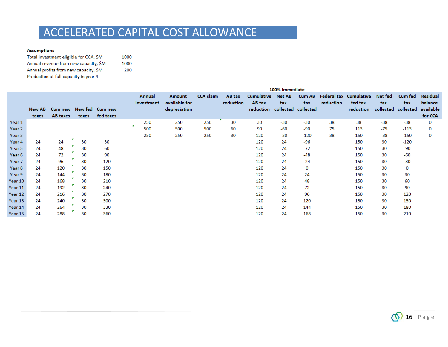#### **Assumptions**

| Total investment eligible for CCA, \$M | 1000 |
|----------------------------------------|------|
| Annual revenue from new capacity, SM   | 1000 |
| Annual profits from new capacity, SM   | 200  |
| Production at full capacity in year 4  |      |

|         | 100% immediate |                         |       |           |   |            |               |                  |           |                               |        |               |           |                        |                     |         |           |
|---------|----------------|-------------------------|-------|-----------|---|------------|---------------|------------------|-----------|-------------------------------|--------|---------------|-----------|------------------------|---------------------|---------|-----------|
|         |                |                         |       |           |   | Annual     | Amount        | <b>CCA</b> claim | AB tax    | <b>Cumulative</b>             | Net AB | <b>Cum AB</b> |           | Federal tax Cumulative | Net fed             | Cum fed | Residual  |
|         |                |                         |       |           |   | investment | available for |                  | reduction | AB tax                        | tax    | tax           | reduction | fed tax                | tax                 | tax     | balance   |
|         | New AB         | Cum new New fed Cum new |       |           |   |            | depreciation  |                  |           | reduction collected collected |        |               |           | reduction              | collected collected |         | available |
|         | taxes          | AB taxes                | taxes | fed taxes |   |            |               |                  |           |                               |        |               |           |                        |                     |         | for CCA   |
| Year 1  |                |                         |       |           |   | 250        | 250           | 250              | 30        | 30                            | $-30$  | $-30$         | 38        | 38                     | $-38$               | $-38$   | 0         |
| Year 2  |                |                         |       |           | × | 500        | 500           | 500              | 60        | 90                            | -60    | -90           | 75        | 113                    | $-75$               | $-113$  | $\bf{0}$  |
| Year 3  |                |                         |       |           |   | 250        | 250           | 250              | 30        | 120                           | $-30$  | $-120$        | 38        | 150                    | $-38$               | -150    | 0         |
| Year 4  | 24             | 24                      | 30    | 30        |   |            |               |                  |           | 120                           | 24     | $-96$         |           | 150                    | 30                  | $-120$  |           |
| Year 5  | 24             | 48                      | 30    | 60        |   |            |               |                  |           | 120                           | 24     | $-72$         |           | 150                    | 30                  | $-90$   |           |
| Year 6  | 24             | 72                      | 30    | 90        |   |            |               |                  |           | 120                           | 24     | $-48$         |           | 150                    | 30                  | $-60$   |           |
| Year 7  | 24             | 96                      | 30    | 120       |   |            |               |                  |           | 120                           | 24     | $-24$         |           | 150                    | 30                  | $-30$   |           |
| Year 8  | 24             | 120                     | 30    | 150       |   |            |               |                  |           | 120                           | 24     | 0             |           | 150                    | 30                  | 0       |           |
| Year 9  | 24             | 144                     | 30    | 180       |   |            |               |                  |           | 120                           | 24     | 24            |           | 150                    | 30                  | 30      |           |
| Year 10 | 24             | 168                     | 30    | 210       |   |            |               |                  |           | 120                           | 24     | 48            |           | 150                    | 30                  | 60      |           |
| Year 11 | 24             | 192                     | 30    | 240       |   |            |               |                  |           | 120                           | 24     | 72            |           | 150                    | 30                  | 90      |           |
| Year 12 | 24             | 216                     | 30    | 270       |   |            |               |                  |           | 120                           | 24     | 96            |           | 150                    | 30                  | 120     |           |
| Year 13 | 24             | 240                     | 30    | 300       |   |            |               |                  |           | 120                           | 24     | 120           |           | 150                    | 30                  | 150     |           |
| Year 14 | 24             | 264                     | 30    | 330       |   |            |               |                  |           | 120                           | 24     | 144           |           | 150                    | 30                  | 180     |           |
| Year 15 | 24             | 288                     | 30    | 360       |   |            |               |                  |           | 120                           | 24     | 168           |           | 150                    | 30                  | 210     |           |

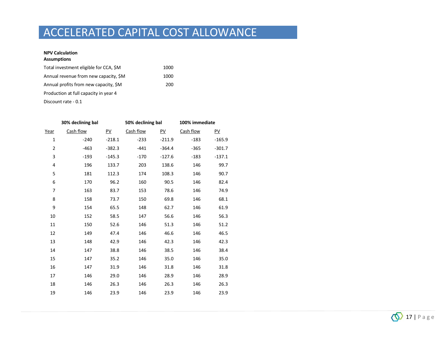#### **NPV Calculation Assumptions**

| Total investment eligible for CCA, \$M | 1000 |
|----------------------------------------|------|
| Annual revenue from new capacity, \$M  | 1000 |
| Annual profits from new capacity, \$M  | 200  |
| Production at full capacity in year 4  |      |
|                                        |      |

Discount rate - 0.1

|                | 30% declining bal |                  | 50% declining bal |          | 100% immediate |                  |  |
|----------------|-------------------|------------------|-------------------|----------|----------------|------------------|--|
| Year           | Cash flow         | $\underline{PV}$ | Cash flow         | PV       | Cash flow      | $\underline{PV}$ |  |
| 1              | $-240$            | $-218.1$         | $-233$            | $-211.9$ | $-183$         | $-165.9$         |  |
| $\overline{2}$ | $-463$            | $-382.3$         | $-441$            | $-364.4$ | -365           | $-301.7$         |  |
| 3              | $-193$            | $-145.3$         | $-170$            | $-127.6$ | $-183$         | $-137.1$         |  |
| 4              | 196               | 133.7            | 203               | 138.6    | 146            | 99.7             |  |
| 5              | 181               | 112.3            | 174               | 108.3    | 146            | 90.7             |  |
| 6              | 170               | 96.2             | 160               | 90.5     | 146            | 82.4             |  |
| 7              | 163               | 83.7             | 153               | 78.6     | 146            | 74.9             |  |
| 8              | 158               | 73.7             | 150               | 69.8     | 146            | 68.1             |  |
| 9              | 154               | 65.5             | 148               | 62.7     | 146            | 61.9             |  |
| 10             | 152               | 58.5             | 147               | 56.6     | 146            | 56.3             |  |
| 11             | 150               | 52.6             | 146               | 51.3     | 146            | 51.2             |  |
| 12             | 149               | 47.4             | 146               | 46.6     | 146            | 46.5             |  |
| 13             | 148               | 42.9             | 146               | 42.3     | 146            | 42.3             |  |
| 14             | 147               | 38.8             | 146               | 38.5     | 146            | 38.4             |  |
| 15             | 147               | 35.2             | 146               | 35.0     | 146            | 35.0             |  |
| 16             | 147               | 31.9             | 146               | 31.8     | 146            | 31.8             |  |
| 17             | 146               | 29.0             | 146               | 28.9     | 146            | 28.9             |  |
| 18             | 146               | 26.3             | 146               | 26.3     | 146            | 26.3             |  |
| 19             | 146               | 23.9             | 146               | 23.9     | 146            | 23.9             |  |

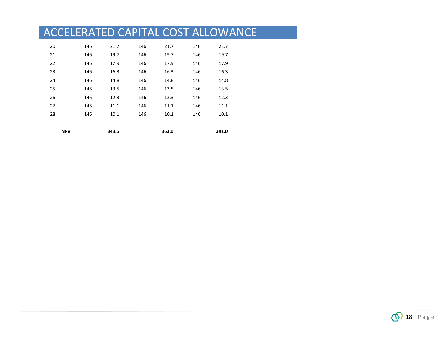| <b>NPV</b> |     | 343.5 |     | 363.0 |     | 391.0 |  |
|------------|-----|-------|-----|-------|-----|-------|--|
| 28         | 146 | 10.1  | 146 | 10.1  | 146 | 10.1  |  |
| 27         | 146 | 11.1  | 146 | 11.1  | 146 | 11.1  |  |
| 26         | 146 | 12.3  | 146 | 12.3  | 146 | 12.3  |  |
| 25         | 146 | 13.5  | 146 | 13.5  | 146 | 13.5  |  |
| 24         | 146 | 14.8  | 146 | 14.8  | 146 | 14.8  |  |
| 23         | 146 | 16.3  | 146 | 16.3  | 146 | 16.3  |  |
| 22         | 146 | 17.9  | 146 | 17.9  | 146 | 17.9  |  |
| 21         | 146 | 19.7  | 146 | 19.7  | 146 | 19.7  |  |
| 20         | 146 | 21.7  | 146 | 21.7  | 146 | 21.7  |  |
|            |     |       |     |       |     |       |  |

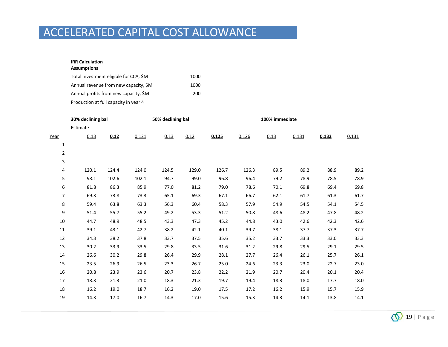#### **IRR Calculation Assumptions**

| Total investment eligible for CCA, \$M | 1000 |
|----------------------------------------|------|
| Annual revenue from new capacity, \$M  | 1000 |
| Annual profits from new capacity, SM   | 200  |
| Production at full capacity in year 4  |      |

|                | 30% declining bal |       |       | 50% declining bal |       |       | 100% immediate |      |       |       |       |  |  |
|----------------|-------------------|-------|-------|-------------------|-------|-------|----------------|------|-------|-------|-------|--|--|
|                | Estimate          |       |       |                   |       |       |                |      |       |       |       |  |  |
| Year           | 0.13              | 0.12  | 0.121 | 0.13              | 0.12  | 0.125 | 0.126          | 0.13 | 0.131 | 0.132 | 0.131 |  |  |
| $\mathbf{1}$   |                   |       |       |                   |       |       |                |      |       |       |       |  |  |
| $\overline{2}$ |                   |       |       |                   |       |       |                |      |       |       |       |  |  |
| 3              |                   |       |       |                   |       |       |                |      |       |       |       |  |  |
| 4              | 120.1             | 124.4 | 124.0 | 124.5             | 129.0 | 126.7 | 126.3          | 89.5 | 89.2  | 88.9  | 89.2  |  |  |
| 5              | 98.1              | 102.6 | 102.1 | 94.7              | 99.0  | 96.8  | 96.4           | 79.2 | 78.9  | 78.5  | 78.9  |  |  |
| 6              | 81.8              | 86.3  | 85.9  | 77.0              | 81.2  | 79.0  | 78.6           | 70.1 | 69.8  | 69.4  | 69.8  |  |  |
| 7              | 69.3              | 73.8  | 73.3  | 65.1              | 69.3  | 67.1  | 66.7           | 62.1 | 61.7  | 61.3  | 61.7  |  |  |
| 8              | 59.4              | 63.8  | 63.3  | 56.3              | 60.4  | 58.3  | 57.9           | 54.9 | 54.5  | 54.1  | 54.5  |  |  |
| 9              | 51.4              | 55.7  | 55.2  | 49.2              | 53.3  | 51.2  | 50.8           | 48.6 | 48.2  | 47.8  | 48.2  |  |  |
| 10             | 44.7              | 48.9  | 48.5  | 43.3              | 47.3  | 45.2  | 44.8           | 43.0 | 42.6  | 42.3  | 42.6  |  |  |
| 11             | 39.1              | 43.1  | 42.7  | 38.2              | 42.1  | 40.1  | 39.7           | 38.1 | 37.7  | 37.3  | 37.7  |  |  |
| 12             | 34.3              | 38.2  | 37.8  | 33.7              | 37.5  | 35.6  | 35.2           | 33.7 | 33.3  | 33.0  | 33.3  |  |  |
| 13             | 30.2              | 33.9  | 33.5  | 29.8              | 33.5  | 31.6  | 31.2           | 29.8 | 29.5  | 29.1  | 29.5  |  |  |
| 14             | 26.6              | 30.2  | 29.8  | 26.4              | 29.9  | 28.1  | 27.7           | 26.4 | 26.1  | 25.7  | 26.1  |  |  |
| 15             | 23.5              | 26.9  | 26.5  | 23.3              | 26.7  | 25.0  | 24.6           | 23.3 | 23.0  | 22.7  | 23.0  |  |  |
| 16             | 20.8              | 23.9  | 23.6  | 20.7              | 23.8  | 22.2  | 21.9           | 20.7 | 20.4  | 20.1  | 20.4  |  |  |
| 17             | 18.3              | 21.3  | 21.0  | 18.3              | 21.3  | 19.7  | 19.4           | 18.3 | 18.0  | 17.7  | 18.0  |  |  |
| 18             | 16.2              | 19.0  | 18.7  | 16.2              | 19.0  | 17.5  | 17.2           | 16.2 | 15.9  | 15.7  | 15.9  |  |  |
| 19             | 14.3              | 17.0  | 16.7  | 14.3              | 17.0  | 15.6  | 15.3           | 14.3 | 14.1  | 13.8  | 14.1  |  |  |

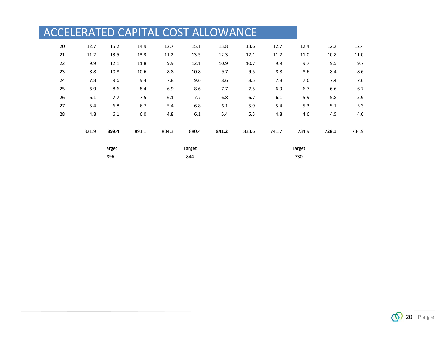| ACCELERATED CAPITAL COST ALLOWANCE |       |        |       |       |        |       |       |       |        |       |       |
|------------------------------------|-------|--------|-------|-------|--------|-------|-------|-------|--------|-------|-------|
| 20                                 | 12.7  | 15.2   | 14.9  | 12.7  | 15.1   | 13.8  | 13.6  | 12.7  | 12.4   | 12.2  | 12.4  |
| 21                                 | 11.2  | 13.5   | 13.3  | 11.2  | 13.5   | 12.3  | 12.1  | 11.2  | 11.0   | 10.8  | 11.0  |
| 22                                 | 9.9   | 12.1   | 11.8  | 9.9   | 12.1   | 10.9  | 10.7  | 9.9   | 9.7    | 9.5   | 9.7   |
| 23                                 | 8.8   | 10.8   | 10.6  | 8.8   | 10.8   | 9.7   | 9.5   | 8.8   | 8.6    | 8.4   | 8.6   |
| 24                                 | 7.8   | 9.6    | 9.4   | 7.8   | 9.6    | 8.6   | 8.5   | 7.8   | 7.6    | 7.4   | 7.6   |
| 25                                 | 6.9   | 8.6    | 8.4   | 6.9   | 8.6    | 7.7   | 7.5   | 6.9   | 6.7    | 6.6   | 6.7   |
| 26                                 | 6.1   | 7.7    | 7.5   | 6.1   | 7.7    | 6.8   | 6.7   | 6.1   | 5.9    | 5.8   | 5.9   |
| 27                                 | 5.4   | 6.8    | 6.7   | 5.4   | 6.8    | 6.1   | 5.9   | 5.4   | 5.3    | 5.1   | 5.3   |
| 28                                 | 4.8   | 6.1    | 6.0   | 4.8   | 6.1    | 5.4   | 5.3   | 4.8   | 4.6    | 4.5   | 4.6   |
|                                    | 821.9 | 899.4  | 891.1 | 804.3 | 880.4  | 841.2 | 833.6 | 741.7 | 734.9  | 728.1 | 734.9 |
|                                    |       | Target |       |       | Target |       |       |       | Target |       |       |
|                                    |       | 896    |       |       | 844    |       |       |       | 730    |       |       |

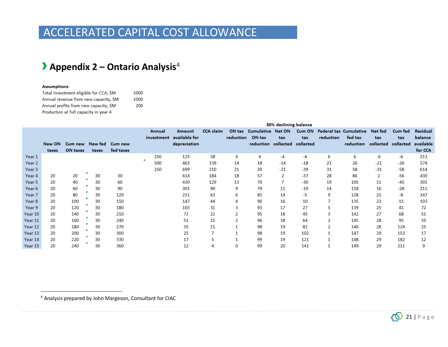### › **Appendix 2 – Ontario Analysis<sup>4</sup>**

#### **Assumptions**

 $\overline{a}$ 

| Total investment eligible for CCA, SM | 1000 |
|---------------------------------------|------|
| Annual revenue from new capacity, SM  | 1000 |
| Annual profits from new capacity, SM  | 200  |
| Production at full capacity in year 4 |      |

<span id="page-20-0"></span>

|                   |        |                 |       |           |            |               |                  |           |                               | 30% declining balance |        |           |                               |           |                |                 |
|-------------------|--------|-----------------|-------|-----------|------------|---------------|------------------|-----------|-------------------------------|-----------------------|--------|-----------|-------------------------------|-----------|----------------|-----------------|
|                   |        |                 |       |           | Annual     | <b>Amount</b> | <b>CCA</b> claim |           | ON tax Cumulative Net ON      |                       | Cum ON |           | <b>Federal tax Cumulative</b> | Net fed   | <b>Cum fed</b> | <b>Residual</b> |
|                   |        |                 |       |           | investment | available for |                  | reduction | ON tax                        | tax                   | tax    | reduction | fed tax                       | tax       | tax            | balance         |
|                   | New ON | Cum new New fed |       | Cum new   |            | depreciation  |                  |           | reduction collected collected |                       |        |           | reduction                     | collected | collected      | available       |
|                   | taxes  | ON taxes        | taxes | fed taxes |            |               |                  |           |                               |                       |        |           |                               |           |                | for CCA         |
| Year 1            |        |                 |       |           | 250        | 125           | 38               | 4         | 4                             | $-4$                  | $-4$   | 6         | 6                             | -6        | -6             | 213             |
| Year <sub>2</sub> |        |                 |       |           | 500        | 463           | 139              | 14        | 18                            | $-14$                 | $-18$  | 21        | 26                            | $-21$     | $-26$          | 574             |
| Year 3            |        |                 |       |           | 250        | 699           | 210              | 21        | 39                            | $-21$                 | $-39$  | 31        | 58                            | $-31$     | $-58$          | 614             |
| Year 4            | 20     | 20              | 30    | 30        |            | 614           | 184              | 18        | 57                            | $\overline{2}$        | $-37$  | 28        | 86                            | 2         | $-56$          | 430             |
| Year 5            | 20     | 40              | 30    | 60        |            | 430           | 129              | 13        | 70                            | 7                     | $-30$  | 19        | 105                           | 11        | $-45$          | 301             |
| Year 6            | 20     | 60              | 30    | 90        |            | 301           | 90               | 9         | 79                            | 11                    | $-19$  | 14        | 118                           | 16        | $-28$          | 211             |
| Year 7            | 20     | 80              | 30    | 120       |            | 211           | 63               | 6         | 85                            | 14                    | -5     | 9         | 128                           | 21        | -8             | 147             |
| Year 8            | 20     | 100             | 30    | 150       |            | 147           | 44               |           | 90                            | 16                    | 10     | 7         | 135                           | 23        | 15             | 103             |
| Year 9            | 20     | 120             | 30    | 180       |            | 103           | 31               |           | 93                            | 17                    | 27     | 5         | 139                           | 25        | 41             | 72              |
| Year 10           | 20     | 140             | 30    | 210       |            | 72            | 22               |           | 95                            | 18                    | 45     | 3         | 142                           | 27        | 68             | 51              |
| Year 11           | 20     | 160             | 30    | 240       |            | 51            | 15               |           | 96                            | 18                    | 64     | 2         | 145                           | 28        | 95             | 35              |
| Year 12           | 20     | 180             | 30    | 270       |            | 35            | 11               |           | 98                            | 19                    | 82     | 2         | 146                           | 28        | 124            | 25              |
| Year 13           | 20     | 200             | 30    | 300       |            | 25            | 7                |           | 98                            | 19                    | 102    |           | 147                           | 29        | 153            | 17              |
| Year 14           | 20     | 220             | 30    | 330       |            | 17            | 5                |           | 99                            | 19                    | 121    |           | 148                           | 29        | 182            | 12              |
| Year 15           | 20     | 240             | 30    | 360       |            | 12            | 4                |           | 99                            | 20                    | 141    |           | 149                           | 29        | 211            | 9               |

<sup>4</sup> Analysis prepared by John Margeson, Consultant for CIAC

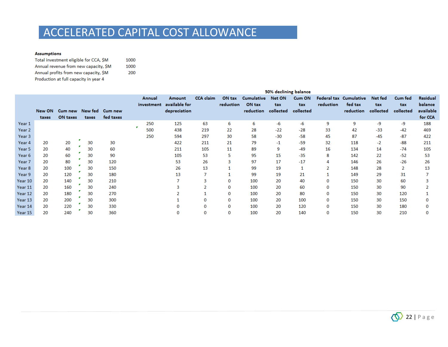#### **Assumptions**

| Total investment eligible for CCA, SM | 1000 |
|---------------------------------------|------|
| Annual revenue from new capacity. SM  | 1000 |
| Annual profits from new capacity, SM  | 200  |
| Production at full capacity in year 4 |      |

|            |        |                         |       |           |                      |                         |                  |                     |                             | 50% declining balance |               |                |                                   |                |                       |                            |
|------------|--------|-------------------------|-------|-----------|----------------------|-------------------------|------------------|---------------------|-----------------------------|-----------------------|---------------|----------------|-----------------------------------|----------------|-----------------------|----------------------------|
|            |        |                         |       |           | Annual<br>investment | Amount<br>available for | <b>CCA</b> claim | ON tax<br>reduction | <b>Cumulative</b><br>ON tax | Net ON<br>tax         | Cum ON<br>tax | reduction      | Federal tax Cumulative<br>fed tax | Net fed<br>tax | <b>Cum fed</b><br>tax | <b>Residual</b><br>balance |
|            | New ON | Cum new New fed Cum new |       |           |                      | depreciation            |                  |                     | reduction                   | collected             | collected     |                | reduction                         | collected      | collected             | available                  |
|            | taxes  | ON taxes                | taxes | fed taxes |                      |                         |                  |                     |                             |                       |               |                |                                   |                |                       | for CCA                    |
| Year 1     |        |                         |       |           | 250                  | 125                     | 63               | 6                   | 6                           | -6                    | -6            | 9              | 9                                 | -9             | $-9$                  | 188                        |
| Year 2     |        |                         |       |           | 500                  | 438                     | 219              | 22                  | 28                          | $-22$                 | $-28$         | 33             | 42                                | $-33$          | $-42$                 | 469                        |
| Year 3     |        |                         |       |           | 250                  | 594                     | 297              | 30                  | 58                          | $-30$                 | $-58$         | 45             | 87                                | $-45$          | $-87$                 | 422                        |
| Year 4     | 20     | 20                      | 30    | 30        |                      | 422                     | 211              | 21                  | 79                          | -1                    | $-59$         | 32             | 118                               | $-2$           | $-88$                 | 211                        |
| Year 5     | 20     | 40                      | 30    | 60        |                      | 211                     | 105              | 11                  | 89                          | 9                     | $-49$         | 16             | 134                               | 14             | $-74$                 | 105                        |
| Year 6     | 20     | 60                      | 30    | 90        |                      | 105                     | 53               | 5                   | 95                          | 15                    | $-35$         | 8              | 142                               | 22             | $-52$                 | 53                         |
| Year 7     | 20     | 80                      | 30    | 120       |                      | 53                      | 26               |                     | 97                          | 17                    | $-17$         | Δ              | 146                               | 26             | $-26$                 | 26                         |
| Year 8     | 20     | 100                     | 30    | 150       |                      | 26                      | 13               |                     | 99                          | 19                    | 1             | $\overline{2}$ | 148                               | 28             | 2                     | 13                         |
| Year 9     | 20     | 120                     | 30    | 180       |                      | 13                      |                  |                     | 99                          | 19                    | 21            |                | 149                               | 29             | 31                    |                            |
| Year 10    | 20     | 140                     | 30    | 210       |                      |                         | 3                | $\mathbf 0$         | 100                         | 20                    | 40            | $\Omega$       | 150                               | 30             | 60                    |                            |
| Year 11    | 20     | 160                     | 30    | 240       |                      |                         |                  | $\mathbf 0$         | 100                         | 20                    | 60            | $\Omega$       | 150                               | 30             | 90                    |                            |
| Year 12    | 20     | 180                     | 30    | 270       |                      |                         |                  | $\mathbf 0$         | 100                         | 20                    | 80            | $\Omega$       | 150                               | 30             | 120                   |                            |
| Year 13    | 20     | 200                     | 30    | 300       |                      |                         | O                | 0                   | 100                         | 20                    | 100           | $\Omega$       | 150                               | 30             | 150                   | 0                          |
| Year 14    | 20     | 220                     | 30    | 330       |                      |                         | $\Omega$         | $\mathbf 0$         | 100                         | 20                    | 120           | $\Omega$       | 150                               | 30             | 180                   |                            |
| Year $151$ | 20     | 240                     | 30    | 360       |                      | 0                       |                  | $\Omega$            | 100                         | 20                    | 140           |                | 150                               | 30             | 210                   |                            |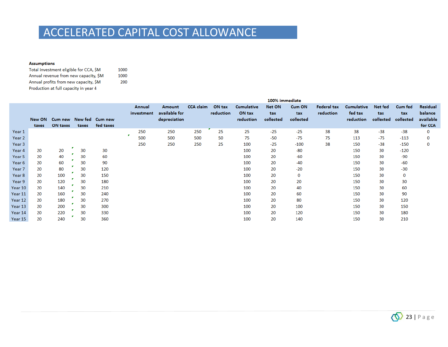#### **Assumptions**

| Total investment eligible for CCA, \$M | 1000 |
|----------------------------------------|------|
| Annual revenue from new capacity, SM   | 1000 |
| Annual profits from new capacity, \$M  | 200  |
| Production at full capacity in year 4  |      |

|         |        |                         |       |           |                      |                                |                  |                     |                             | 100% immediate |               |                                 |                              |                |                |                            |
|---------|--------|-------------------------|-------|-----------|----------------------|--------------------------------|------------------|---------------------|-----------------------------|----------------|---------------|---------------------------------|------------------------------|----------------|----------------|----------------------------|
|         |        |                         |       |           | Annual<br>investment | <b>Amount</b><br>available for | <b>CCA</b> claim | ON tax<br>reduction | <b>Cumulative</b><br>ON tax | Net ON<br>tax  | Cum ON<br>tax | <b>Federal tax</b><br>reduction | <b>Cumulative</b><br>fed tax | Net fed<br>tax | Cum fed<br>tax | <b>Residual</b><br>balance |
|         | New ON | Cum new New fed Cum new |       |           |                      | depreciation                   |                  |                     | reduction                   | collected      | collected     |                                 | reduction                    | collected      | collected      | available                  |
|         | taxes  | ON taxes                | taxes | fed taxes |                      |                                |                  |                     |                             |                |               |                                 |                              |                |                | for CCA                    |
| Year 1  |        |                         |       |           | 250                  | 250                            | 250              | 25                  | 25                          | $-25$          | $-25$         | 38                              | 38                           | $-38$          | $-38$          | $\mathbf{O}$               |
| Year 2  |        |                         |       |           | 500                  | 500                            | 500              | 50                  | 75                          | $-50$          | $-75$         | 75                              | 113                          | $-75$          | $-113$         | 0                          |
| Year 3  |        |                         |       |           | 250                  | 250                            | 250              | 25                  | 100                         | $-25$          | $-100$        | 38                              | 150                          | $-38$          | $-150$         | 0                          |
| Year 4  | 20     | 20                      | 30    | 30        |                      |                                |                  |                     | 100                         | 20             | $-80$         |                                 | 150                          | 30             | $-120$         |                            |
| Year 5  | 20     | 40                      | 30    | 60        |                      |                                |                  |                     | 100                         | 20             | $-60$         |                                 | 150                          | 30             | $-90$          |                            |
| Year 6  | 20     | 60                      | 30    | 90        |                      |                                |                  |                     | 100                         | 20             | $-40$         |                                 | 150                          | 30             | -60            |                            |
| Year 7  | 20     | 80                      | 30    | 120       |                      |                                |                  |                     | 100                         | 20             | $-20$         |                                 | 150                          | 30             | $-30$          |                            |
| Year 8  | 20     | 100                     | 30    | 150       |                      |                                |                  |                     | 100                         | 20             | 0             |                                 | 150                          | 30             | 0              |                            |
| Year 9  | 20     | 120                     | 30    | 180       |                      |                                |                  |                     | 100                         | 20             | 20            |                                 | 150                          | 30             | 30             |                            |
| Year 10 | 20     | 140                     | 30    | 210       |                      |                                |                  |                     | 100                         | 20             | 40            |                                 | 150                          | 30             | 60             |                            |
| Year 11 | 20     | 160                     | 30    | 240       |                      |                                |                  |                     | 100                         | 20             | 60            |                                 | 150                          | 30             | 90             |                            |
| Year 12 | 20     | 180                     | 30    | 270       |                      |                                |                  |                     | 100                         | 20             | 80            |                                 | 150                          | 30             | 120            |                            |
| Year 13 | 20     | 200                     | 30    | 300       |                      |                                |                  |                     | 100                         | 20             | 100           |                                 | 150                          | 30             | 150            |                            |
| Year 14 | 20     | 220                     | 30    | 330       |                      |                                |                  |                     | 100                         | 20             | 120           |                                 | 150                          | 30             | 180            |                            |
| Year 15 | 20     | 240                     | 30    | 360       |                      |                                |                  |                     | 100                         | 20             | 140           |                                 | 150                          | 30             | 210            |                            |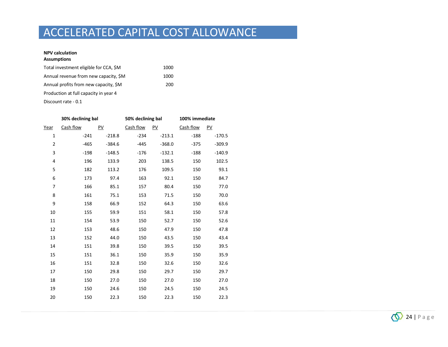#### **NPV calculation Assumptions**

| Total investment eligible for CCA, \$M | 1000 |
|----------------------------------------|------|
| Annual revenue from new capacity, \$M  | 1000 |
| Annual profits from new capacity, \$M  | 200  |
| Production at full capacity in year 4  |      |
|                                        |      |

Discount rate - 0.1

|                | 30% declining bal |          | 50% declining bal |          | 100% immediate |          |  |
|----------------|-------------------|----------|-------------------|----------|----------------|----------|--|
| Year           | Cash flow         | PV       | Cash flow         | PV       | Cash flow      | PV       |  |
| $\mathbf 1$    | $-241$            | $-218.8$ | $-234$            | $-213.1$ | $-188$         | $-170.5$ |  |
| $\overline{2}$ | $-465$            | $-384.6$ | $-445$            | $-368.0$ | $-375$         | $-309.9$ |  |
| 3              | $-198$            | $-148.5$ | $-176$            | $-132.1$ | $-188$         | $-140.9$ |  |
| 4              | 196               | 133.9    | 203               | 138.5    | 150            | 102.5    |  |
| 5              | 182               | 113.2    | 176               | 109.5    | 150            | 93.1     |  |
| 6              | 173               | 97.4     | 163               | 92.1     | 150            | 84.7     |  |
| 7              | 166               | 85.1     | 157               | 80.4     | 150            | 77.0     |  |
| 8              | 161               | 75.1     | 153               | 71.5     | 150            | 70.0     |  |
| 9              | 158               | 66.9     | 152               | 64.3     | 150            | 63.6     |  |
| 10             | 155               | 59.9     | 151               | 58.1     | 150            | 57.8     |  |
| 11             | 154               | 53.9     | 150               | 52.7     | 150            | 52.6     |  |
| 12             | 153               | 48.6     | 150               | 47.9     | 150            | 47.8     |  |
| 13             | 152               | 44.0     | 150               | 43.5     | 150            | 43.4     |  |
| 14             | 151               | 39.8     | 150               | 39.5     | 150            | 39.5     |  |
| 15             | 151               | 36.1     | 150               | 35.9     | 150            | 35.9     |  |
| 16             | 151               | 32.8     | 150               | 32.6     | 150            | 32.6     |  |
| 17             | 150               | 29.8     | 150               | 29.7     | 150            | 29.7     |  |
| 18             | 150               | 27.0     | 150               | 27.0     | 150            | 27.0     |  |
| 19             | 150               | 24.6     | 150               | 24.5     | 150            | 24.5     |  |
| 20             | 150               | 22.3     | 150               | 22.3     | 150            | 22.3     |  |

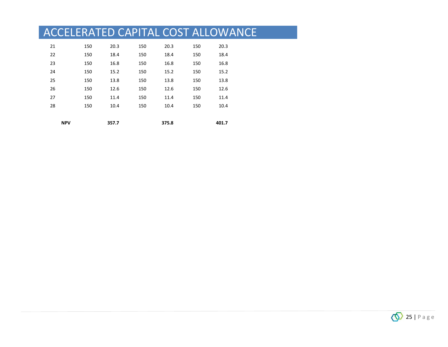| <b>NPV</b> |     | 357.7 |     | 375.8 |     | 401.7 |
|------------|-----|-------|-----|-------|-----|-------|
| 28         | 150 | 10.4  | 150 | 10.4  | 150 | 10.4  |
| 27         | 150 | 11.4  | 150 | 11.4  | 150 | 11.4  |
| 26         | 150 | 12.6  | 150 | 12.6  | 150 | 12.6  |
| 25         | 150 | 13.8  | 150 | 13.8  | 150 | 13.8  |
| 24         | 150 | 15.2  | 150 | 15.2  | 150 | 15.2  |
| 23         | 150 | 16.8  | 150 | 16.8  | 150 | 16.8  |
| 22         | 150 | 18.4  | 150 | 18.4  | 150 | 18.4  |
| 21         | 150 | 20.3  | 150 | 20.3  | 150 | 20.3  |

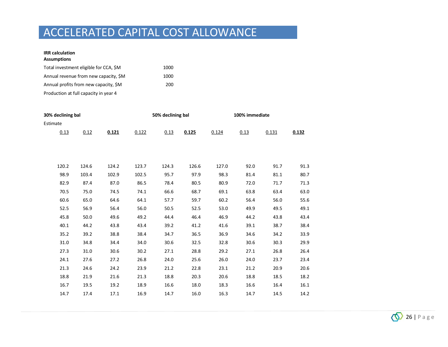#### **IRR calculation Assumptions**

| Total investment eligible for CCA, \$M | 1000 |
|----------------------------------------|------|
| Annual revenue from new capacity, \$M  | 1000 |
| Annual profits from new capacity, \$M  | 200  |
| Production at full capacity in year 4  |      |

| 30% declining bal |       |       |       | 50% declining bal |       |       | 100% immediate |       |       |  |
|-------------------|-------|-------|-------|-------------------|-------|-------|----------------|-------|-------|--|
| Estimate          |       |       |       |                   |       |       |                |       |       |  |
| 0.13              | 0.12  | 0.121 | 0.122 | 0.13              | 0.125 | 0.124 | 0.13           | 0.131 | 0.132 |  |
|                   |       |       |       |                   |       |       |                |       |       |  |
|                   |       |       |       |                   |       |       |                |       |       |  |
|                   |       |       |       |                   |       |       |                |       |       |  |
| 120.2             | 124.6 | 124.2 | 123.7 | 124.3             | 126.6 | 127.0 | 92.0           | 91.7  | 91.3  |  |
| 98.9              | 103.4 | 102.9 | 102.5 | 95.7              | 97.9  | 98.3  | 81.4           | 81.1  | 80.7  |  |
| 82.9              | 87.4  | 87.0  | 86.5  | 78.4              | 80.5  | 80.9  | 72.0           | 71.7  | 71.3  |  |
| 70.5              | 75.0  | 74.5  | 74.1  | 66.6              | 68.7  | 69.1  | 63.8           | 63.4  | 63.0  |  |
| 60.6              | 65.0  | 64.6  | 64.1  | 57.7              | 59.7  | 60.2  | 56.4           | 56.0  | 55.6  |  |
| 52.5              | 56.9  | 56.4  | 56.0  | 50.5              | 52.5  | 53.0  | 49.9           | 49.5  | 49.1  |  |
| 45.8              | 50.0  | 49.6  | 49.2  | 44.4              | 46.4  | 46.9  | 44.2           | 43.8  | 43.4  |  |
| 40.1              | 44.2  | 43.8  | 43.4  | 39.2              | 41.2  | 41.6  | 39.1           | 38.7  | 38.4  |  |
| 35.2              | 39.2  | 38.8  | 38.4  | 34.7              | 36.5  | 36.9  | 34.6           | 34.2  | 33.9  |  |
| 31.0              | 34.8  | 34.4  | 34.0  | 30.6              | 32.5  | 32.8  | 30.6           | 30.3  | 29.9  |  |
| 27.3              | 31.0  | 30.6  | 30.2  | 27.1              | 28.8  | 29.2  | 27.1           | 26.8  | 26.4  |  |
| 24.1              | 27.6  | 27.2  | 26.8  | 24.0              | 25.6  | 26.0  | 24.0           | 23.7  | 23.4  |  |
| 21.3              | 24.6  | 24.2  | 23.9  | 21.2              | 22.8  | 23.1  | 21.2           | 20.9  | 20.6  |  |
| 18.8              | 21.9  | 21.6  | 21.3  | 18.8              | 20.3  | 20.6  | 18.8           | 18.5  | 18.2  |  |
| 16.7              | 19.5  | 19.2  | 18.9  | 16.6              | 18.0  | 18.3  | 16.6           | 16.4  | 16.1  |  |
| 14.7              | 17.4  | 17.1  | 16.9  | 14.7              | 16.0  | 16.3  | 14.7           | 14.5  | 14.2  |  |
|                   |       |       |       |                   |       |       |                |       |       |  |